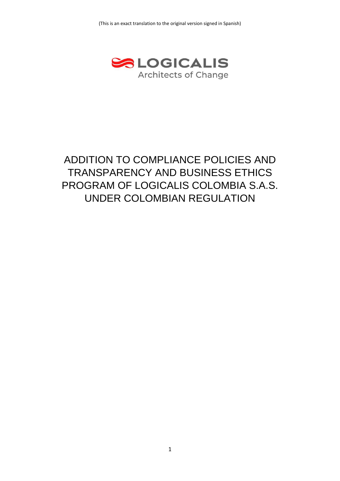

# ADDITION TO COMPLIANCE POLICIES AND TRANSPARENCY AND BUSINESS ETHICS PROGRAM OF LOGICALIS COLOMBIA S.A.S. UNDER COLOMBIAN REGULATION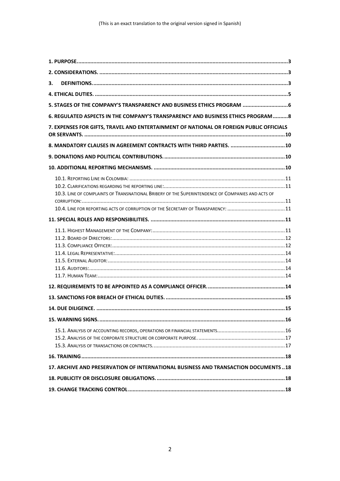| З.                                                                                                                                                                                    |
|---------------------------------------------------------------------------------------------------------------------------------------------------------------------------------------|
|                                                                                                                                                                                       |
| 5. STAGES OF THE COMPANY'S TRANSPARENCY AND BUSINESS ETHICS PROGRAM  6                                                                                                                |
| 6. REGULATED ASPECTS IN THE COMPANY'S TRANSPARENCY AND BUSINESS ETHICS PROGRAM  8                                                                                                     |
| 7. EXPENSES FOR GIFTS, TRAVEL AND ENTERTAINMENT OF NATIONAL OR FOREIGN PUBLIC OFFICIALS                                                                                               |
|                                                                                                                                                                                       |
|                                                                                                                                                                                       |
|                                                                                                                                                                                       |
| 10.3. LINE OF COMPLAINTS OF TRANSNATIONAL BRIBERY OF THE SUPERINTENDENCE OF COMPANIES AND ACTS OF<br>10.4. LINE FOR REPORTING ACTS OF CORRUPTION OF THE SECRETARY OF TRANSPARENCY: 11 |
|                                                                                                                                                                                       |
|                                                                                                                                                                                       |
|                                                                                                                                                                                       |
|                                                                                                                                                                                       |
|                                                                                                                                                                                       |
|                                                                                                                                                                                       |
|                                                                                                                                                                                       |
|                                                                                                                                                                                       |
| 17. ARCHIVE AND PRESERVATION OF INTERNATIONAL BUSINESS AND TRANSACTION DOCUMENTS  18                                                                                                  |
|                                                                                                                                                                                       |
|                                                                                                                                                                                       |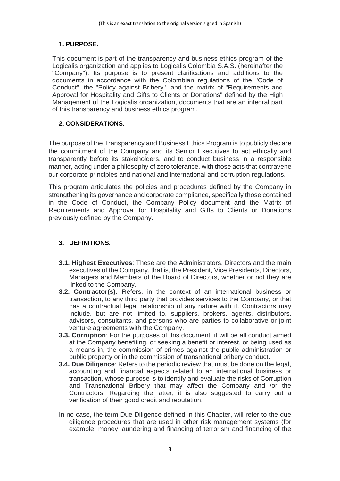# <span id="page-2-0"></span>**1. PURPOSE.**

This document is part of the transparency and business ethics program of the Logicalis organization and applies to Logicalis Colombia S.A.S. (hereinafter the "Company"). Its purpose is to present clarifications and additions to the documents in accordance with the Colombian regulations of the "Code of Conduct", the "Policy against Bribery", and the matrix of "Requirements and Approval for Hospitality and Gifts to Clients or Donations" defined by the High Management of the Logicalis organization, documents that are an integral part of this transparency and business ethics program.

# <span id="page-2-1"></span>**2. CONSIDERATIONS.**

The purpose of the Transparency and Business Ethics Program is to publicly declare the commitment of the Company and its Senior Executives to act ethically and transparently before its stakeholders, and to conduct business in a responsible manner, acting under a philosophy of zero tolerance. with those acts that contravene our corporate principles and national and international anti-corruption regulations.

This program articulates the policies and procedures defined by the Company in strengthening its governance and corporate compliance, specifically those contained in the Code of Conduct, the Company Policy document and the Matrix of Requirements and Approval for Hospitality and Gifts to Clients or Donations previously defined by the Company.

# <span id="page-2-2"></span>**3. DEFINITIONS.**

- **3.1. Highest Executives**: These are the Administrators, Directors and the main executives of the Company, that is, the President, Vice Presidents, Directors, Managers and Members of the Board of Directors, whether or not they are linked to the Company.
- **3.2. Contractor(s):** Refers, in the context of an international business or transaction, to any third party that provides services to the Company, or that has a contractual legal relationship of any nature with it. Contractors may include, but are not limited to, suppliers, brokers, agents, distributors, advisors, consultants, and persons who are parties to collaborative or joint venture agreements with the Company.
- **3.3. Corruption**: For the purposes of this document, it will be all conduct aimed at the Company benefiting, or seeking a benefit or interest, or being used as a means in, the commission of crimes against the public administration or public property or in the commission of transnational bribery conduct.
- **3.4. Due Diligence**: Refers to the periodic review that must be done on the legal, accounting and financial aspects related to an international business or transaction, whose purpose is to identify and evaluate the risks of Corruption and Transnational Bribery that may affect the Company and /or the Contractors. Regarding the latter, it is also suggested to carry out a verification of their good credit and reputation.
- In no case, the term Due Diligence defined in this Chapter, will refer to the due diligence procedures that are used in other risk management systems (for example, money laundering and financing of terrorism and financing of the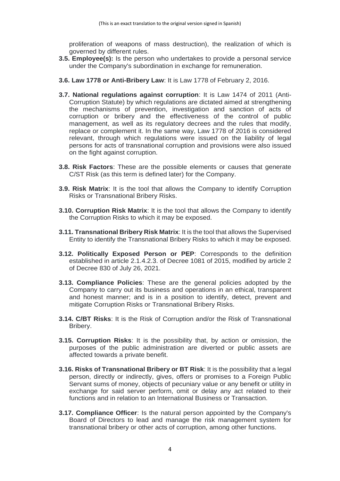proliferation of weapons of mass destruction), the realization of which is governed by different rules.

- **3.5. Employee(s):** Is the person who undertakes to provide a personal service under the Company's subordination in exchange for remuneration.
- **3.6. Law 1778 or Anti-Bribery Law**: It is Law 1778 of February 2, 2016.
- **3.7. National regulations against corruption**: It is Law 1474 of 2011 (Anti-Corruption Statute) by which regulations are dictated aimed at strengthening the mechanisms of prevention, investigation and sanction of acts of corruption or bribery and the effectiveness of the control of public management, as well as its regulatory decrees and the rules that modify, replace or complement it. In the same way, Law 1778 of 2016 is considered relevant, through which regulations were issued on the liability of legal persons for acts of transnational corruption and provisions were also issued on the fight against corruption.
- **3.8. Risk Factors**: These are the possible elements or causes that generate C/ST Risk (as this term is defined later) for the Company.
- **3.9. Risk Matrix**: It is the tool that allows the Company to identify Corruption Risks or Transnational Bribery Risks.
- **3.10. Corruption Risk Matrix**: It is the tool that allows the Company to identify the Corruption Risks to which it may be exposed.
- **3.11. Transnational Bribery Risk Matrix**: It is the tool that allows the Supervised Entity to identify the Transnational Bribery Risks to which it may be exposed.
- **3.12. Politically Exposed Person or PEP**: Corresponds to the definition established in article 2.1.4.2.3. of Decree 1081 of 2015, modified by article 2 of Decree 830 of July 26, 2021.
- **3.13. Compliance Policies**: These are the general policies adopted by the Company to carry out its business and operations in an ethical, transparent and honest manner; and is in a position to identify, detect, prevent and mitigate Corruption Risks or Transnational Bribery Risks.
- **3.14. C/BT Risks**: It is the Risk of Corruption and/or the Risk of Transnational Bribery.
- **3.15. Corruption Risks**: It is the possibility that, by action or omission, the purposes of the public administration are diverted or public assets are affected towards a private benefit.
- **3.16. Risks of Transnational Bribery or BT Risk**: It is the possibility that a legal person, directly or indirectly, gives, offers or promises to a Foreign Public Servant sums of money, objects of pecuniary value or any benefit or utility in exchange for said server perform, omit or delay any act related to their functions and in relation to an International Business or Transaction.
- **3.17. Compliance Officer**: Is the natural person appointed by the Company's Board of Directors to lead and manage the risk management system for transnational bribery or other acts of corruption, among other functions.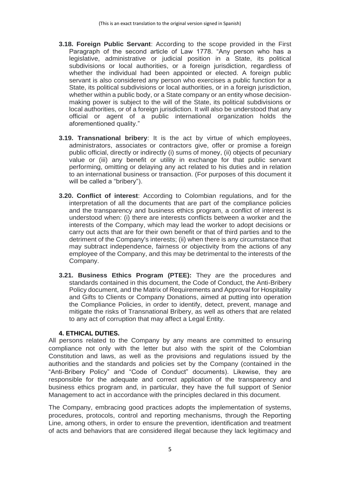- **3.18. Foreign Public Servant**: According to the scope provided in the First Paragraph of the second article of Law 1778. "Any person who has a legislative, administrative or judicial position in a State, its political subdivisions or local authorities, or a foreign jurisdiction, regardless of whether the individual had been appointed or elected. A foreign public servant is also considered any person who exercises a public function for a State, its political subdivisions or local authorities, or in a foreign jurisdiction, whether within a public body, or a State company or an entity whose decisionmaking power is subject to the will of the State, its political subdivisions or local authorities, or of a foreign jurisdiction. It will also be understood that any official or agent of a public international organization holds the aforementioned quality."
- **3.19. Transnational bribery**: It is the act by virtue of which employees, administrators, associates or contractors give, offer or promise a foreign public official, directly or indirectly (i) sums of money, (ii) objects of pecuniary value or (iii) any benefit or utility in exchange for that public servant performing, omitting or delaying any act related to his duties and in relation to an international business or transaction. (For purposes of this document it will be called a "bribery").
- **3.20. Conflict of interest**: According to Colombian regulations, and for the interpretation of all the documents that are part of the compliance policies and the transparency and business ethics program, a conflict of interest is understood when: (i) there are interests conflicts between a worker and the interests of the Company, which may lead the worker to adopt decisions or carry out acts that are for their own benefit or that of third parties and to the detriment of the Company's interests; (ii) when there is any circumstance that may subtract independence, fairness or objectivity from the actions of any employee of the Company, and this may be detrimental to the interests of the Company.
- **3.21. Business Ethics Program (PTEE):** They are the procedures and standards contained in this document, the Code of Conduct, the Anti-Bribery Policy document, and the Matrix of Requirements and Approval for Hospitality and Gifts to Clients or Company Donations, aimed at putting into operation the Compliance Policies, in order to identify, detect, prevent, manage and mitigate the risks of Transnational Bribery, as well as others that are related to any act of corruption that may affect a Legal Entity.

## **4. ETHICAL DUTIES.**

<span id="page-4-0"></span>All persons related to the Company by any means are committed to ensuring compliance not only with the letter but also with the spirit of the Colombian Constitution and laws, as well as the provisions and regulations issued by the authorities and the standards and policies set by the Company (contained in the "Anti-Bribery Policy" and "Code of Conduct" documents). Likewise, they are responsible for the adequate and correct application of the transparency and business ethics program and, in particular, they have the full support of Senior Management to act in accordance with the principles declared in this document.

The Company, embracing good practices adopts the implementation of systems, procedures, protocols, control and reporting mechanisms, through the Reporting Line, among others, in order to ensure the prevention, identification and treatment of acts and behaviors that are considered illegal because they lack legitimacy and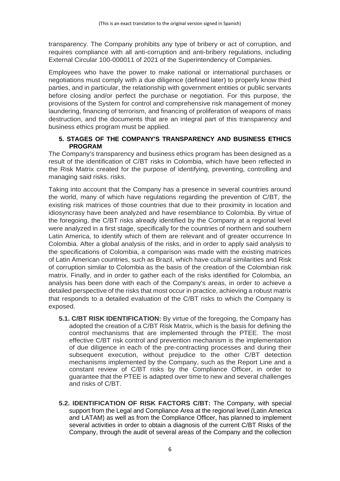transparency. The Company prohibits any type of bribery or act of corruption, and requires compliance with all anti-corruption and anti-bribery regulations, including External Circular 100-000011 of 2021 of the Superintendency of Companies.

Employees who have the power to make national or international purchases or negotiations must comply with a due diligence (defined later) to properly know third parties, and in particular, the relationship with government entities or public servants before closing and/or perfect the purchase or negotiation. For this purpose, the provisions of the System for control and comprehensive risk management of money laundering, financing of terrorism, and financing of proliferation of weapons of mass destruction, and the documents that are an integral part of this transparency and business ethics program must be applied.

## <span id="page-5-0"></span>**5. STAGES OF THE COMPANY'S TRANSPARENCY AND BUSINESS ETHICS PROGRAM**

The Company's transparency and business ethics program has been designed as a result of the identification of C/BT risks in Colombia, which have been reflected in the Risk Matrix created for the purpose of identifying, preventing, controlling and managing said risks. risks.

Taking into account that the Company has a presence in several countries around the world, many of which have regulations regarding the prevention of C/BT, the existing risk matrices of those countries that due to their proximity in location and idiosyncrasy have been analyzed and have resemblance to Colombia. By virtue of the foregoing, the C/BT risks already identified by the Company at a regional level were analyzed in a first stage, specifically for the countries of northern and southern Latin America, to identify which of them are relevant and of greater occurrence In Colombia. After a global analysis of the risks, and in order to apply said analysis to the specifications of Colombia, a comparison was made with the existing matrices of Latin American countries, such as Brazil, which have cultural similarities and Risk of corruption similar to Colombia as the basis of the creation of the Colombian risk matrix. Finally, and in order to gather each of the risks identified for Colombia, an analysis has been done with each of the Company's areas, in order to achieve a detailed perspective of the risks that most occur in practice, achieving a robust matrix that responds to a detailed evaluation of the C/BT risks to which the Company is exposed.

- **5.1. C/BT RISK IDENTIFICATION:** By virtue of the foregoing, the Company has adopted the creation of a C/BT Risk Matrix, which is the basis for defining the control mechanisms that are implemented through the PTEE. The most effective C/BT risk control and prevention mechanism is the implementation of due diligence in each of the pre-contracting processes and during their subsequent execution, without prejudice to the other C/BT detection mechanisms implemented by the Company, such as the Report Line and a constant review of C/BT risks by the Compliance Officer, in order to guarantee that the PTEE is adapted over time to new and several challenges and risks of C/BT.
- **5.2. IDENTIFICATION OF RISK FACTORS C/BT:** The Company, with special support from the Legal and Compliance Area at the regional level (Latin America and LATAM) as well as from the Compliance Officer, has planned to implement several activities in order to obtain a diagnosis of the current C/BT Risks of the Company, through the audit of several areas of the Company and the collection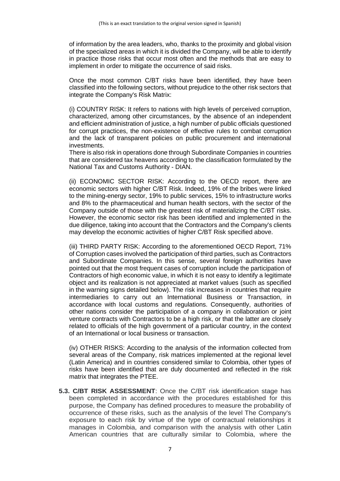of information by the area leaders, who, thanks to the proximity and global vision of the specialized areas in which it is divided the Company, will be able to identify in practice those risks that occur most often and the methods that are easy to implement in order to mitigate the occurrence of said risks.

Once the most common C/BT risks have been identified, they have been classified into the following sectors, without prejudice to the other risk sectors that integrate the Company's Risk Matrix:

(i) COUNTRY RISK: It refers to nations with high levels of perceived corruption, characterized, among other circumstances, by the absence of an independent and efficient administration of justice, a high number of public officials questioned for corrupt practices, the non-existence of effective rules to combat corruption and the lack of transparent policies on public procurement and international investments.

There is also risk in operations done through Subordinate Companies in countries that are considered tax heavens according to the classification formulated by the National Tax and Customs Authority - DIAN.

(ii) ECONOMIC SECTOR RISK: According to the OECD report, there are economic sectors with higher C/BT Risk. Indeed, 19% of the bribes were linked to the mining-energy sector, 19% to public services, 15% to infrastructure works and 8% to the pharmaceutical and human health sectors, with the sector of the Company outside of those with the greatest risk of materializing the C/BT risks. However, the economic sector risk has been identified and implemented in the due diligence, taking into account that the Contractors and the Company's clients may develop the economic activities of higher C/BT Risk specified above.

(iii) THIRD PARTY RISK: According to the aforementioned OECD Report, 71% of Corruption cases involved the participation of third parties, such as Contractors and Subordinate Companies. In this sense, several foreign authorities have pointed out that the most frequent cases of corruption include the participation of Contractors of high economic value, in which it is not easy to identify a legitimate object and its realization is not appreciated at market values (such as specified in the warning signs detailed below). The risk increases in countries that require intermediaries to carry out an International Business or Transaction, in accordance with local customs and regulations. Consequently, authorities of other nations consider the participation of a company in collaboration or joint venture contracts with Contractors to be a high risk, or that the latter are closely related to officials of the high government of a particular country, in the context of an International or local business or transaction.

(iv) OTHER RISKS: According to the analysis of the information collected from several areas of the Company, risk matrices implemented at the regional level (Latin America) and in countries considered similar to Colombia, other types of risks have been identified that are duly documented and reflected in the risk matrix that integrates the PTEE.

**5.3. C/BT RISK ASSESSMENT**: Once the C/BT risk identification stage has been completed in accordance with the procedures established for this purpose, the Company has defined procedures to measure the probability of occurrence of these risks, such as the analysis of the level The Company's exposure to each risk by virtue of the type of contractual relationships it manages in Colombia, and comparison with the analysis with other Latin American countries that are culturally similar to Colombia, where the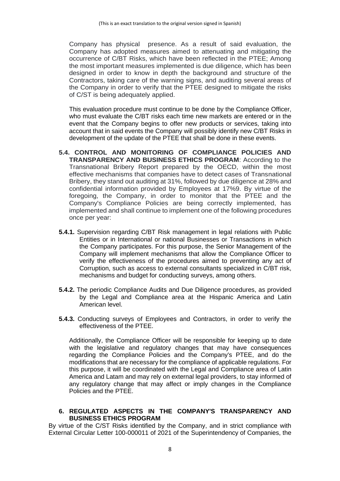Company has physical presence. As a result of said evaluation, the Company has adopted measures aimed to attenuating and mitigating the occurrence of C/BT Risks, which have been reflected in the PTEE; Among the most important measures implemented is due diligence, which has been designed in order to know in depth the background and structure of the Contractors, taking care of the warning signs, and auditing several areas of the Company in order to verify that the PTEE designed to mitigate the risks of C/ST is being adequately applied.

This evaluation procedure must continue to be done by the Compliance Officer, who must evaluate the C/BT risks each time new markets are entered or in the event that the Company begins to offer new products or services, taking into account that in said events the Company will possibly identify new C/BT Risks in development of the update of the PTEE that shall be done in these events.

- **5.4. CONTROL AND MONITORING OF COMPLIANCE POLICIES AND TRANSPARENCY AND BUSINESS ETHICS PROGRAM**: According to the Transnational Bribery Report prepared by the OECD, within the most effective mechanisms that companies have to detect cases of Transnational Bribery, they stand out auditing at 31%, followed by due diligence at 28% and confidential information provided by Employees at 17%9. By virtue of the foregoing, the Company, in order to monitor that the PTEE and the Company's Compliance Policies are being correctly implemented, has implemented and shall continue to implement one of the following procedures once per year:
- **5.4.1.** Supervision regarding C/BT Risk management in legal relations with Public Entities or in International or national Businesses or Transactions in which the Company participates. For this purpose, the Senior Management of the Company will implement mechanisms that allow the Compliance Officer to verify the effectiveness of the procedures aimed to preventing any act of Corruption, such as access to external consultants specialized in C/BT risk, mechanisms and budget for conducting surveys, among others.
- **5.4.2.** The periodic Compliance Audits and Due Diligence procedures, as provided by the Legal and Compliance area at the Hispanic America and Latin American level.
- **5.4.3.** Conducting surveys of Employees and Contractors, in order to verify the effectiveness of the PTEE.

Additionally, the Compliance Officer will be responsible for keeping up to date with the legislative and regulatory changes that may have consequences regarding the Compliance Policies and the Company's PTEE, and do the modifications that are necessary for the compliance of applicable regulations. For this purpose, it will be coordinated with the Legal and Compliance area of Latin America and Latam and may rely on external legal providers, to stay informed of any regulatory change that may affect or imply changes in the Compliance Policies and the PTEE.

<span id="page-7-0"></span>**6. REGULATED ASPECTS IN THE COMPANY'S TRANSPARENCY AND BUSINESS ETHICS PROGRAM**

By virtue of the C/ST Risks identified by the Company, and in strict compliance with External Circular Letter 100-000011 of 2021 of the Superintendency of Companies, the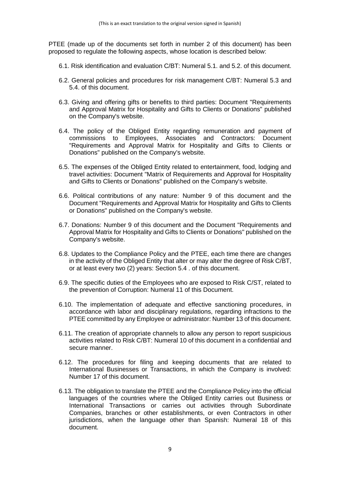PTEE (made up of the documents set forth in number 2 of this document) has been proposed to regulate the following aspects, whose location is described below:

- 6.1. Risk identification and evaluation C/BT: Numeral 5.1. and 5.2. of this document.
- 6.2. General policies and procedures for risk management C/BT: Numeral 5.3 and 5.4. of this document.
- 6.3. Giving and offering gifts or benefits to third parties: Document "Requirements and Approval Matrix for Hospitality and Gifts to Clients or Donations" published on the Company's website.
- 6.4. The policy of the Obliged Entity regarding remuneration and payment of commissions to Employees, Associates and Contractors: Document "Requirements and Approval Matrix for Hospitality and Gifts to Clients or Donations" published on the Company's website.
- 6.5. The expenses of the Obliged Entity related to entertainment, food, lodging and travel activities: Document "Matrix of Requirements and Approval for Hospitality and Gifts to Clients or Donations" published on the Company's website.
- 6.6. Political contributions of any nature: Number 9 of this document and the Document "Requirements and Approval Matrix for Hospitality and Gifts to Clients or Donations" published on the Company's website.
- 6.7. Donations: Number 9 of this document and the Document "Requirements and Approval Matrix for Hospitality and Gifts to Clients or Donations" published on the Company's website.
- 6.8. Updates to the Compliance Policy and the PTEE, each time there are changes in the activity of the Obliged Entity that alter or may alter the degree of Risk C/BT, or at least every two (2) years: Section 5.4 . of this document.
- 6.9. The specific duties of the Employees who are exposed to Risk C/ST, related to the prevention of Corruption: Numeral 11 of this Document.
- 6.10. The implementation of adequate and effective sanctioning procedures, in accordance with labor and disciplinary regulations, regarding infractions to the PTEE committed by any Employee or administrator: Number 13 of this document.
- 6.11. The creation of appropriate channels to allow any person to report suspicious activities related to Risk C/BT: Numeral 10 of this document in a confidential and secure manner.
- 6.12. The procedures for filing and keeping documents that are related to International Businesses or Transactions, in which the Company is involved: Number 17 of this document.
- 6.13. The obligation to translate the PTEE and the Compliance Policy into the official languages of the countries where the Obliged Entity carries out Business or International Transactions or carries out activities through Subordinate Companies, branches or other establishments, or even Contractors in other jurisdictions, when the language other than Spanish: Numeral 18 of this document.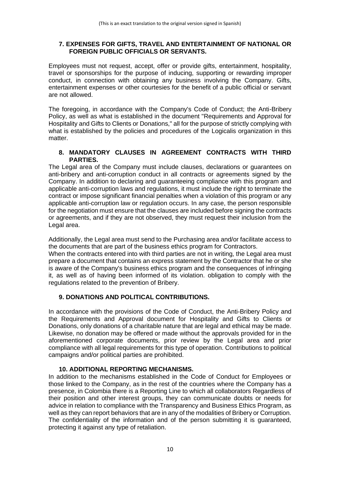## <span id="page-9-0"></span>**7. EXPENSES FOR GIFTS, TRAVEL AND ENTERTAINMENT OF NATIONAL OR FOREIGN PUBLIC OFFICIALS OR SERVANTS.**

Employees must not request, accept, offer or provide gifts, entertainment, hospitality, travel or sponsorships for the purpose of inducing, supporting or rewarding improper conduct, in connection with obtaining any business involving the Company. Gifts, entertainment expenses or other courtesies for the benefit of a public official or servant are not allowed.

The foregoing, in accordance with the Company's Code of Conduct; the Anti-Bribery Policy, as well as what is established in the document "Requirements and Approval for Hospitality and Gifts to Clients or Donations," all for the purpose of strictly complying with what is established by the policies and procedures of the Logicalis organization in this matter.

## <span id="page-9-1"></span>**8. MANDATORY CLAUSES IN AGREEMENT CONTRACTS WITH THIRD PARTIES.**

The Legal area of the Company must include clauses, declarations or guarantees on anti-bribery and anti-corruption conduct in all contracts or agreements signed by the Company. In addition to declaring and guaranteeing compliance with this program and applicable anti-corruption laws and regulations, it must include the right to terminate the contract or impose significant financial penalties when a violation of this program or any applicable anti-corruption law or regulation occurs. In any case, the person responsible for the negotiation must ensure that the clauses are included before signing the contracts or agreements, and if they are not observed, they must request their inclusion from the Legal area.

Additionally, the Legal area must send to the Purchasing area and/or facilitate access to the documents that are part of the business ethics program for Contractors.

When the contracts entered into with third parties are not in writing, the Legal area must prepare a document that contains an express statement by the Contractor that he or she is aware of the Company's business ethics program and the consequences of infringing it, as well as of having been informed of its violation. obligation to comply with the regulations related to the prevention of Bribery.

# <span id="page-9-2"></span>**9. DONATIONS AND POLITICAL CONTRIBUTIONS.**

In accordance with the provisions of the Code of Conduct, the Anti-Bribery Policy and the Requirements and Approval document for Hospitality and Gifts to Clients or Donations, only donations of a charitable nature that are legal and ethical may be made. Likewise, no donation may be offered or made without the approvals provided for in the aforementioned corporate documents, prior review by the Legal area and prior compliance with all legal requirements for this type of operation. Contributions to political campaigns and/or political parties are prohibited.

# **10. ADDITIONAL REPORTING MECHANISMS.**

<span id="page-9-3"></span>In addition to the mechanisms established in the Code of Conduct for Employees or those linked to the Company, as in the rest of the countries where the Company has a presence, in Colombia there is a Reporting Line to which all collaborators Regardless of their position and other interest groups, they can communicate doubts or needs for advice in relation to compliance with the Transparency and Business Ethics Program, as well as they can report behaviors that are in any of the modalities of Bribery or Corruption. The confidentiality of the information and of the person submitting it is guaranteed, protecting it against any type of retaliation.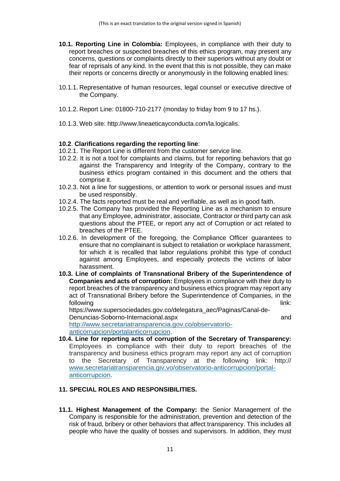- <span id="page-10-0"></span>**10.1. Reporting Line in Colombia:** Employees, in compliance with their duty to report breaches or suspected breaches of this ethics program, may present any concerns, questions or complaints directly to their superiors without any doubt or fear of reprisals of any kind. In the event that this is not possible, they can make their reports or concerns directly or anonymously in the following enabled lines:
- 10.1.1. Representative of human resources, legal counsel or executive directive of the Company.
- 10.1.2. Report Line: 01800-710-2177 (monday to friday from 9 to 17 hs.).
- 10.1.3. Web site: [http://www.lineaeticayconducta.com/la.logicalis.](http://www.lineaeticayconducta.com/la.logicalis)

#### <span id="page-10-1"></span>**10.2**. **Clarifications regarding the reporting line**:

- 10.2.1. The Report Line is different from the customer service line.
- 10.2.2. It is not a tool for complaints and claims, but for reporting behaviors that go against the Transparency and Integrity of the Company, contrary to the business ethics program contained in this document and the others that comprise it.
- 10.2.3. Not a line for suggestions, or attention to work or personal issues and must be used responsibly.
- 10.2.4. The facts reported must be real and verifiable, as well as in good faith.
- 10.2.5. The Company has provided the Reporting Line as a mechanism to ensure that any Employee, administrator, associate, Contractor or third party can ask questions about the PTEE, or report any act of Corruption or act related to breaches of the PTEE.
- 10.2.6. In development of the foregoing, the Compliance Officer guarantees to ensure that no complainant is subject to retaliation or workplace harassment, for which it is recalled that labor regulations prohibit this type of conduct against among Employees, and especially protects the victims of labor harassment.
- <span id="page-10-2"></span>**10.3. Line of complaints of Transnational Bribery of the Superintendence of Companies and acts of corruption:** Employees in compliance with their duty to report breaches of the transparency and business ethics program may report any act of Transnational Bribery before the Superintendence of Companies, in the following link: which is a state of the state of the state of the state of the state of the state of the state of the state of the state of the state of the state of the state of the state of the state of the state of the

https://www.supersociedades.gov.co/delegatura\_aec/Paginas/Canal-de-Denuncias-Soborno-Internacional.aspx and

[http://www.secretariatransparencia.gov.co/observatorio](http://www.secretariatransparencia.gov.co/observatorio-anticorrupcion/portalanticorrupcion)[anticorrupcion/portalanticorrupcion.](http://www.secretariatransparencia.gov.co/observatorio-anticorrupcion/portalanticorrupcion)

<span id="page-10-3"></span>**10.4. Line for reporting acts of corruption of the Secretary of Transparency:** Employees in compliance with their duty to report breaches of the transparency and business ethics program may report any act of corruption to the Secretary of Transparency at the following link: http:// [www.secretariatransparencia.giv.vo/observatorio-anticorrupcion/portal](http://www.secretariatransparencia.giv.vo/observatorio-anticorrupcion/portal-anticorrupcion)[anticorrupcion.](http://www.secretariatransparencia.giv.vo/observatorio-anticorrupcion/portal-anticorrupcion)

## <span id="page-10-4"></span>**11. SPECIAL ROLES AND RESPONSIBILITIES.**

<span id="page-10-5"></span>**11.1. Highest Management of the Company:** the Senior Management of the Company is responsible for the administration, prevention and detection of the risk of fraud, bribery or other behaviors that affect transparency. This includes all people who have the quality of bosses and supervisors. In addition, they must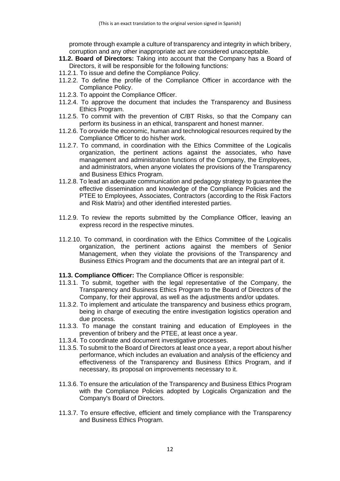promote through example a culture of transparency and integrity in which bribery, corruption and any other inappropriate act are considered unacceptable.

- <span id="page-11-0"></span>**11.2. Board of Directors:** Taking into account that the Company has a Board of Directors, it will be responsible for the following functions:
- 11.2.1. To issue and define the Compliance Policy.
- 11.2.2. To define the profile of the Compliance Officer in accordance with the Compliance Policy.
- 11.2.3. To appoint the Compliance Officer.
- 11.2.4. To approve the document that includes the Transparency and Business Ethics Program.
- 11.2.5. To commit with the prevention of C/BT Risks, so that the Company can perform its business in an ethical, transparent and honest manner.
- 11.2.6. To orovide the economic, human and technological resources required by the Compliance Officer to do his/her work.
- 11.2.7. To command, in coordination with the Ethics Committee of the Logicalis organization, the pertinent actions against the associates, who have management and administration functions of the Company, the Employees, and administrators, when anyone violates the provisions of the Transparency and Business Ethics Program.
- 11.2.8. To lead an adequate communication and pedagogy strategy to guarantee the effective dissemination and knowledge of the Compliance Policies and the PTEE to Employees, Associates, Contractors (according to the Risk Factors and Risk Matrix) and other identified interested parties.
- 11.2.9. To review the reports submitted by the Compliance Officer, leaving an express record in the respective minutes.
- 11.2.10. To command, in coordination with the Ethics Committee of the Logicalis organization, the pertinent actions against the members of Senior Management, when they violate the provisions of the Transparency and Business Ethics Program and the documents that are an integral part of it.
- <span id="page-11-1"></span>**11.3. Compliance Officer:** The Compliance Officer is responsible:
- 11.3.1. To submit, together with the legal representative of the Company, the Transparency and Business Ethics Program to the Board of Directors of the Company, for their approval, as well as the adjustments and/or updates.
- 11.3.2. To implement and articulate the transparency and business ethics program, being in charge of executing the entire investigation logistics operation and due process.
- 11.3.3. To manage the constant training and education of Employees in the prevention of bribery and the PTEE, at least once a year.
- 11.3.4. To coordinate and document investigative processes.
- 11.3.5. To submit to the Board of Directors at least once a year, a report about his/her performance, which includes an evaluation and analysis of the efficiency and effectiveness of the Transparency and Business Ethics Program, and if necessary, its proposal on improvements necessary to it.
- 11.3.6. To ensure the articulation of the Transparency and Business Ethics Program with the Compliance Policies adopted by Logicalis Organization and the Company's Board of Directors.
- 11.3.7. To ensure effective, efficient and timely compliance with the Transparency and Business Ethics Program.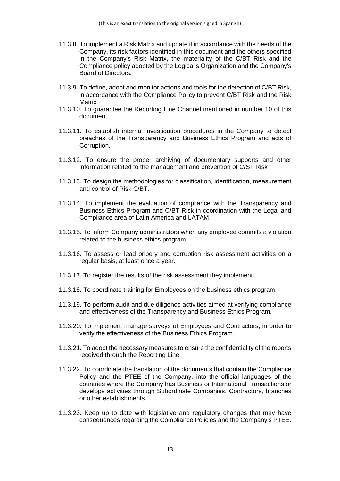- 11.3.8. To implement a Risk Matrix and update it in accordance with the needs of the Company, its risk factors identified in this document and the others specified in the Company's Risk Matrix, the materiality of the C/BT Risk and the Compliance policy adopted by the Logicalis Organization and the Company's Board of Directors.
- 11.3.9. To define, adopt and monitor actions and tools for the detection of C/BT Risk, in accordance with the Compliance Policy to prevent C/BT Risk and the Risk Matrix.
- 11.3.10. To guarantee the Reporting Line Channel mentioned in number 10 of this document.
- 11.3.11. To establish internal investigation procedures in the Company to detect breaches of the Transparency and Business Ethics Program and acts of Corruption.
- 11.3.12. To ensure the proper archiving of documentary supports and other information related to the management and prevention of C/ST Risk
- 11.3.13. To design the methodologies for classification, identification, measurement and control of Risk C/BT.
- 11.3.14. To implement the evaluation of compliance with the Transparency and Business Ethics Program and C/BT Risk in coordination with the Legal and Compliance area of Latin America and LATAM.
- 11.3.15. To inform Company administrators when any employee commits a violation related to the business ethics program.
- 11.3.16. To assess or lead bribery and corruption risk assessment activities on a regular basis, at least once a year.
- 11.3.17. To register the results of the risk assessment they implement.
- 11.3.18. To coordinate training for Employees on the business ethics program.
- 11.3.19. To perform audit and due diligence activities aimed at verifying compliance and effectiveness of the Transparency and Business Ethics Program.
- 11.3.20. To implement manage surveys of Employees and Contractors, in order to verify the effectiveness of the Business Ethics Program.
- 11.3.21. To adopt the necessary measures to ensure the confidentiality of the reports received through the Reporting Line.
- 11.3.22. To coordinate the translation of the documents that contain the Compliance Policy and the PTEE of the Company, into the official languages of the countries where the Company has Business or International Transactions or develops activities through Subordinate Companies, Contractors, branches or other establishments.
- 11.3.23. Keep up to date with legislative and regulatory changes that may have consequences regarding the Compliance Policies and the Company's PTEE.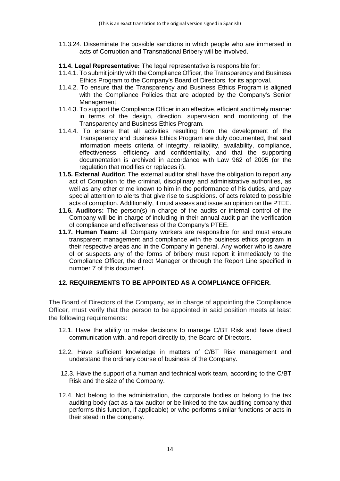11.3.24. Disseminate the possible sanctions in which people who are immersed in acts of Corruption and Transnational Bribery will be involved.

<span id="page-13-0"></span>**11.4. Legal Representative:** The legal representative is responsible for:

- 11.4.1. To submit jointly with the Compliance Officer, the Transparency and Business Ethics Program to the Company's Board of Directors, for its approval.
- 11.4.2. To ensure that the Transparency and Business Ethics Program is aligned with the Compliance Policies that are adopted by the Company's Senior Management.
- 11.4.3. To support the Compliance Officer in an effective, efficient and timely manner in terms of the design, direction, supervision and monitoring of the Transparency and Business Ethics Program.
- 11.4.4. To ensure that all activities resulting from the development of the Transparency and Business Ethics Program are duly documented, that said information meets criteria of integrity, reliability, availability, compliance, effectiveness, efficiency and confidentiality, and that the supporting documentation is archived in accordance with Law 962 of 2005 (or the regulation that modifies or replaces it).
- <span id="page-13-1"></span>**11.5. External Auditor:** The external auditor shall have the obligation to report any act of Corruption to the criminal, disciplinary and administrative authorities, as well as any other crime known to him in the performance of his duties, and pay special attention to alerts that give rise to suspicions. of acts related to possible acts of corruption. Additionally, it must assess and issue an opinion on the PTEE.
- <span id="page-13-2"></span>**11.6. Auditors:** The person(s) in charge of the audits or internal control of the Company will be in charge of including in their annual audit plan the verification of compliance and effectiveness of the Company's PTEE.
- <span id="page-13-3"></span>**11.7. Human Team:** all Company workers are responsible for and must ensure transparent management and compliance with the business ethics program in their respective areas and in the Company in general. Any worker who is aware of or suspects any of the forms of bribery must report it immediately to the Compliance Officer, the direct Manager or through the Report Line specified in number 7 of this document.

# <span id="page-13-4"></span>**12. REQUIREMENTS TO BE APPOINTED AS A COMPLIANCE OFFICER.**

The Board of Directors of the Company, as in charge of appointing the Compliance Officer, must verify that the person to be appointed in said position meets at least the following requirements:

- 12.1. Have the ability to make decisions to manage C/BT Risk and have direct communication with, and report directly to, the Board of Directors.
- 12.2. Have sufficient knowledge in matters of C/BT Risk management and understand the ordinary course of business of the Company.
- 12.3. Have the support of a human and technical work team, according to the C/BT Risk and the size of the Company.
- 12.4. Not belong to the administration, the corporate bodies or belong to the tax auditing body (act as a tax auditor or be linked to the tax auditing company that performs this function, if applicable) or who performs similar functions or acts in their stead in the company.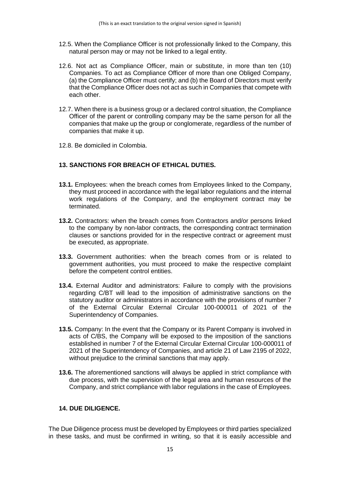- 12.5. When the Compliance Officer is not professionally linked to the Company, this natural person may or may not be linked to a legal entity.
- 12.6. Not act as Compliance Officer, main or substitute, in more than ten (10) Companies. To act as Compliance Officer of more than one Obliged Company, (a) the Compliance Officer must certify; and (b) the Board of Directors must verify that the Compliance Officer does not act as such in Companies that compete with each other.
- 12.7. When there is a business group or a declared control situation, the Compliance Officer of the parent or controlling company may be the same person for all the companies that make up the group or conglomerate, regardless of the number of companies that make it up.
- 12.8. Be domiciled in Colombia.

# <span id="page-14-0"></span>**13. SANCTIONS FOR BREACH OF ETHICAL DUTIES.**

- **13.1.** Employees: when the breach comes from Employees linked to the Company, they must proceed in accordance with the legal labor regulations and the internal work regulations of the Company, and the employment contract may be terminated.
- **13.2.** Contractors: when the breach comes from Contractors and/or persons linked to the company by non-labor contracts, the corresponding contract termination clauses or sanctions provided for in the respective contract or agreement must be executed, as appropriate.
- **13.3.** Government authorities: when the breach comes from or is related to government authorities, you must proceed to make the respective complaint before the competent control entities.
- **13.4.** External Auditor and administrators: Failure to comply with the provisions regarding C/BT will lead to the imposition of administrative sanctions on the statutory auditor or administrators in accordance with the provisions of number 7 of the External Circular External Circular 100-000011 of 2021 of the Superintendency of Companies.
- **13.5.** Company: In the event that the Company or its Parent Company is involved in acts of C/BS, the Company will be exposed to the imposition of the sanctions established in number 7 of the External Circular External Circular 100-000011 of 2021 of the Superintendency of Companies, and article 21 of Law 2195 of 2022, without prejudice to the criminal sanctions that may apply.
- **13.6.** The aforementioned sanctions will always be applied in strict compliance with due process, with the supervision of the legal area and human resources of the Company, and strict compliance with labor regulations in the case of Employees.

## <span id="page-14-1"></span>**14. DUE DILIGENCE.**

The Due Diligence process must be developed by Employees or third parties specialized in these tasks, and must be confirmed in writing, so that it is easily accessible and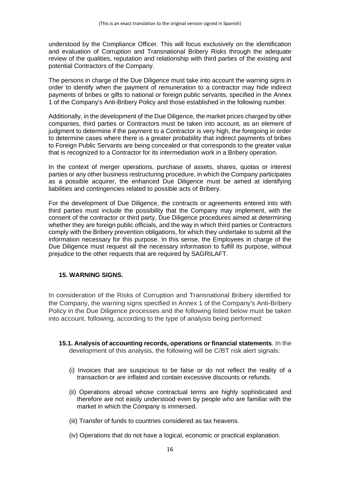understood by the Compliance Officer. This will focus exclusively on the identification and evaluation of Corruption and Transnational Bribery Risks through the adequate review of the qualities, reputation and relationship with third parties of the existing and potential Contractors of the Company.

The persons in charge of the Due Diligence must take into account the warning signs in order to identify when the payment of remuneration to a contractor may hide indirect payments of bribes or gifts to national or foreign public servants, specified in the Annex 1 of the Company's Anti-Bribery Policy and those established in the following number.

Additionally, in the development of the Due Diligence, the market prices charged by other companies, third parties or Contractors must be taken into account, as an element of judgment to determine if the payment to a Contractor is very high, the foregoing in order to determine cases where there is a greater probability that indirect payments of bribes to Foreign Public Servants are being concealed or that corresponds to the greater value that is recognized to a Contractor for its intermediation work in a Bribery operation.

In the context of merger operations, purchase of assets, shares, quotas or interest parties or any other business restructuring procedure, in which the Company participates as a possible acquirer, the enhanced Due Diligence must be aimed at identifying liabilities and contingencies related to possible acts of Bribery.

For the development of Due Diligence, the contracts or agreements entered into with third parties must include the possibility that the Company may implement, with the consent of the contractor or third party, Due Diligence procedures aimed at determining whether they are foreign public officials, and the way in which third parties or Contractors comply with the Bribery prevention obligations, for which they undertake to submit all the information necessary for this purpose. In this sense, the Employees in charge of the Due Diligence must request all the necessary information to fulfill its purpose, without prejudice to the other requests that are required by SAGRILAFT.

## <span id="page-15-0"></span>**15. WARNING SIGNS.**

In consideration of the Risks of Corruption and Transnational Bribery identified for the Company, the warning signs specified in Annex 1 of the Company's Anti-Bribery Policy in the Due Diligence processes and the following listed below must be taken into account. following, according to the type of analysis being performed:

- <span id="page-15-1"></span>**15.1. Analysis of accounting records, operations or financial statements**. In the development of this analysis, the following will be C/BT risk alert signals:
	- (i) Invoices that are suspicious to be false or do not reflect the reality of a transaction or are inflated and contain excessive discounts or refunds.
	- (ii) Operations abroad whose contractual terms are highly sophisticated and therefore are not easily understood even by people who are familiar with the market in which the Company is immersed.
	- (iii) Transfer of funds to countries considered as tax heavens.
	- (iv) Operations that do not have a logical, economic or practical explanation.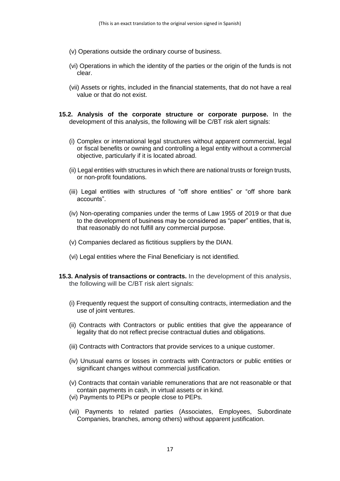- (v) Operations outside the ordinary course of business.
- (vi) Operations in which the identity of the parties or the origin of the funds is not clear.
- (vii) Assets or rights, included in the financial statements, that do not have a real value or that do not exist.
- <span id="page-16-0"></span>**15.2. Analysis of the corporate structure or corporate purpose.** In the development of this analysis, the following will be C/BT risk alert signals:
	- (i) Complex or international legal structures without apparent commercial, legal or fiscal benefits or owning and controlling a legal entity without a commercial objective, particularly if it is located abroad.
	- (ii) Legal entities with structures in which there are national trusts or foreign trusts, or non-profit foundations.
	- (iii) Legal entities with structures of "off shore entities" or "off shore bank accounts".
	- (iv) Non-operating companies under the terms of Law 1955 of 2019 or that due to the development of business may be considered as "paper" entities, that is, that reasonably do not fulfill any commercial purpose.
	- (v) Companies declared as fictitious suppliers by the DIAN.
	- (vi) Legal entities where the Final Beneficiary is not identified.
- <span id="page-16-1"></span>**15.3. Analysis of transactions or contracts.** In the development of this analysis, the following will be C/BT risk alert signals:
	- (i) Frequently request the support of consulting contracts, intermediation and the use of joint ventures.
	- (ii) Contracts with Contractors or public entities that give the appearance of legality that do not reflect precise contractual duties and obligations.
	- (iii) Contracts with Contractors that provide services to a unique customer.
	- (iv) Unusual earns or losses in contracts with Contractors or public entities or significant changes without commercial justification.
	- (v) Contracts that contain variable remunerations that are not reasonable or that contain payments in cash, in virtual assets or in kind.
	- (vi) Payments to PEPs or people close to PEPs.
	- (vii) Payments to related parties (Associates, Employees, Subordinate Companies, branches, among others) without apparent justification.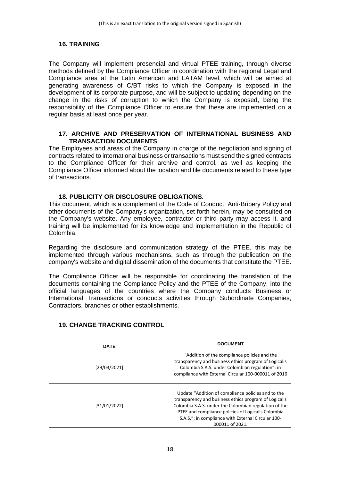# <span id="page-17-0"></span>**16. TRAINING**

The Company will implement presencial and virtual PTEE training, through diverse methods defined by the Compliance Officer in coordination with the regional Legal and Compliance area at the Latin American and LATAM level, which will be aimed at generating awareness of C/BT risks to which the Company is exposed in the development of its corporate purpose, and will be subject to updating depending on the change in the risks of corruption to which the Company is exposed, being the responsibility of the Compliance Officer to ensure that these are implemented on a regular basis at least once per year.

#### <span id="page-17-1"></span>**17. ARCHIVE AND PRESERVATION OF INTERNATIONAL BUSINESS AND TRANSACTION DOCUMENTS**

The Employees and areas of the Company in charge of the negotiation and signing of contracts related to international business or transactions must send the signed contracts to the Compliance Officer for their archive and control, as well as keeping the Compliance Officer informed about the location and file documents related to these type of transactions.

## **18. PUBLICITY OR DISCLOSURE OBLIGATIONS.**

<span id="page-17-2"></span>This document, which is a complement of the Code of Conduct, Anti-Bribery Policy and other documents of the Company's organization, set forth herein, may be consulted on the Company's website. Any employee, contractor or third party may access it, and training will be implemented for its knowledge and implementation in the Republic of Colombia.

Regarding the disclosure and communication strategy of the PTEE, this may be implemented through various mechanisms, such as through the publication on the company's website and digital dissemination of the documents that constitute the PTEE.

The Compliance Officer will be responsible for coordinating the translation of the documents containing the Compliance Policy and the PTEE of the Company, into the official languages of the countries where the Company conducts Business or International Transactions or conducts activities through Subordinate Companies, Contractors, branches or other establishments.

| <b>DATE</b>  | <b>DOCUMENT</b>                                                                                                                                                                                                                                                                                     |
|--------------|-----------------------------------------------------------------------------------------------------------------------------------------------------------------------------------------------------------------------------------------------------------------------------------------------------|
| [29/03/2021] | "Addition of the compliance policies and the<br>transparency and business ethics program of Logicalis<br>Colombia S.A.S. under Colombian regulation"; in<br>compliance with External Circular 100-000011 of 2016                                                                                    |
| [31/01/2022] | Update "Addition of compliance policies and to the<br>transparency and business ethics program of Logicalis<br>Colombia S.A.S. under the Colombian regulation of the<br>PTEE and compliance policies of Logicalis Colombia<br>S.A.S."; in compliance with External Circular 100-<br>000011 of 2021. |

# <span id="page-17-3"></span>**19. CHANGE TRACKING CONTROL**